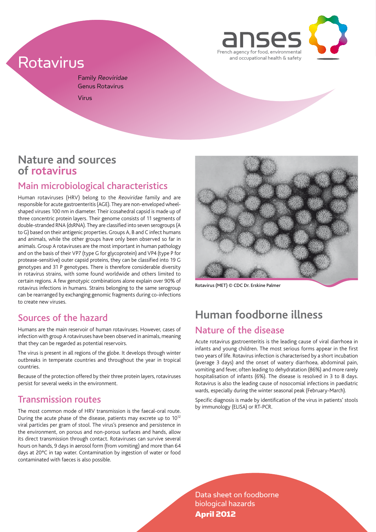

# Rotavirus

Family Reoviridae Genus Rotavirus Virus

### **Nature and sources of rotavirus**

### Main microbiological characteristics

Human rotaviruses (HRV) belong to the *Reoviridae* family and are responsible for acute gastroenteritis (AGE). They are non-enveloped wheelshaped viruses 100 nm in diameter. Their icosahedral capsid is made up of three concentric protein layers. Their genome consists of 11 segments of double-stranded RNA (dsRNA). They are classified into seven serogroups (A to G) based on their antigenic properties. Groups A, B and C infect humans and animals, while the other groups have only been observed so far in animals. Group A rotaviruses are the most important in human pathology and on the basis of their VP7 (type G for glycoprotein) and VP4 (type P for protease-sensitive) outer capsid proteins, they can be classified into 19 G genotypes and 31 P genotypes. There is therefore considerable diversity in rotavirus strains, with some found worldwide and others limited to certain regions. A few genotypic combinations alone explain over 90% of rotavirus infections in humans. Strains belonging to the same serogroup can be rearranged by exchanging genomic fragments during co-infections to create new viruses.

### Sources of the hazard

Humans are the main reservoir of human rotaviruses. However, cases of infection with group A rotaviruses have been observed in animals, meaning that they can be regarded as potential reservoirs.

The virus is present in all regions of the globe. It develops through winter outbreaks in temperate countries and throughout the year in tropical countries.

Because of the protection offered by their three protein layers, rotaviruses persist for several weeks in the environment.

### Transmission routes

The most common mode of HRV transmission is the faecal-oral route. During the acute phase of the disease, patients may excrete up to 1012 viral particles per gram of stool. The virus's presence and persistence in the environment, on porous and non-porous surfaces and hands, allow its direct transmission through contact. Rotaviruses can survive several hours on hands, 9 days in aerosol form (from vomiting) and more than 64 days at 20°C in tap water. Contamination by ingestion of water or food contaminated with faeces is also possible.



Rotavirus (MET) © CDC Dr. Erskine Palmer

## **Human foodborne illness**  Nature of the disease

Acute rotavirus gastroenteritis is the leading cause of viral diarrhoea in infants and young children. The most serious forms appear in the first two years of life. Rotavirus infection is characterised by a short incubation (average 3 days) and the onset of watery diarrhoea, abdominal pain, vomiting and fever, often leading to dehydratation (86%) and more rarely hospitalisation of infants (6%). The disease is resolved in 3 to 8 days. Rotavirus is also the leading cause of nosocomial infections in paediatric wards, especially during the winter seasonal peak (February-March).

Specific diagnosis is made by identification of the virus in patients' stools by immunology (ELISA) or RT-PCR.

Data sheet on foodborne biological hazards April 2012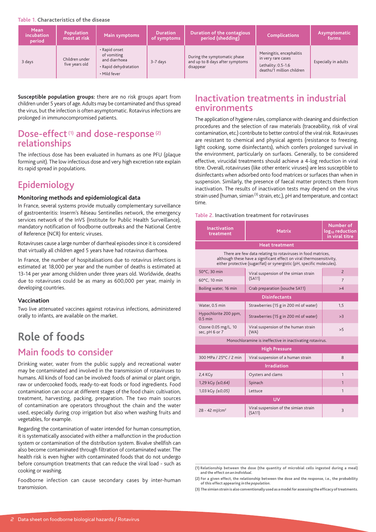#### Table 1. **Characteristics of the disease**

| <b>Mean</b><br>incubation<br><b>period</b> | <b>Population</b><br>most at risk | Main symptoms                                                                          | <b>Duration</b><br>of symptoms | Duration of the contagious<br>period (shedding)                              | <b>Complications</b>                                                                                | Asymptomatic<br>forms |
|--------------------------------------------|-----------------------------------|----------------------------------------------------------------------------------------|--------------------------------|------------------------------------------------------------------------------|-----------------------------------------------------------------------------------------------------|-----------------------|
| 3 days                                     | Children under<br>five years old  | • Rapid onset<br>of vomiting<br>and diarrhoea<br>• Rapid dehydratation<br>• Mild fever | 3-7 days                       | During the symptomatic phase<br>and up to 8 days after symptoms<br>disappear | Meningitis, encephalitis<br>in very rare cases<br>Lethality: $0.5-1.6$<br>deaths/1 million children | Especially in adults  |

**Susceptible population groups:** there are no risk groups apart from children under 5 years of age. Adults may be contaminated and thus spread the virus, but the infection is often asymptomatic. Rotavirus infections are prolonged in immunocompromised patients.

### Dose-effect<sup>(1)</sup> and dose-response<sup>(2)</sup> relationships

The infectious dose has been evaluated in humans as one PFU (plaque forming unit). The low infectious dose and very high excretion rate explain its rapid spread in populations.

### Epidemiology

#### **Monitoring methods and epidemiological data**

In France, several systems provide mutually complementary surveillance of gastroenteritis: Inserm's Réseau Sentinelles network, the emergency services network of the InVS (Institute for Public Health Surveillance), mandatory notification of foodborne outbreaks and the National Centre of Reference (NCR) for enteric viruses.

Rotaviruses cause a large number of diarrheal episodes since it is considered that virtually all children aged 5 years have had rotavirus diarrhoea.

In France, the number of hospitalisations due to rotavirus infections is estimated at 18,000 per year and the number of deaths is estimated at 13-14 per year among children under three years old. Worldwide, deaths due to rotaviruses could be as many as 600,000 per year, mainly in developing countries.

#### **Vaccination**

Two live attenuated vaccines against rotavirus infections, administered orally to infants, are available on the market.

## **Role of foods**

### Main foods to consider

Drinking water, water from the public supply and recreational water may be contaminated and involved in the transmission of rotaviruses to humans. All kinds of food can be involved: foods of animal or plant origin, raw or undercooked foods, ready-to-eat foods or food ingredients. Food contamination can occur at different stages of the food chain: cultivation, treatment, harvesting, packing, preparation. The two main sources of contamination are operators throughout the chain and the water used, especially during crop irrigation but also when washing fruits and vegetables, for example.

Regarding the contamination of water intended for human consumption, it is systematically associated with either a malfunction in the production system or contamination of the distribution system. Bivalve shellfish can also become contaminated through filtration of contaminated water. The health risk is even higher with contaminated foods that do not undergo before consumption treatments that can reduce the viral load - such as cooking or washing.

Foodborne infection can cause secondary cases by inter-human transmission.

### Inactivation treatments in industrial environments

The application of hygiene rules, compliance with cleaning and disinfection procedures and the selection of raw materials (traceability, risk of viral contamination, etc.) contribute to better control of the viral risk. Rotaviruses are resistant to chemical and physical agents (resistance to freezing, light cooking, some disinfectants), which confers prolonged survival in the environment, particularly on surfaces. Generally, to be considered effective, virucidal treatments should achieve a 4-log reduction in viral titre. Overall, rotaviruses (like other enteric viruses) are less susceptible to disinfectants when adsorbed onto food matrices or surfaces than when in suspension. Similarly, the presence of faecal matter protects them from inactivation. The results of inactivation tests may depend on the virus strain used (human, simian<sup>(3)</sup> strain, etc.), pH and temperature, and contact time.

#### Table 2. **Inactivation treatment for rotaviruses**

| <b>Inactivation</b><br>treatment                                                                                                                                                                               | <b>Matrix</b>                                   | Number of<br>log <sub>10</sub> reduction<br>in viral titre |  |  |  |  |
|----------------------------------------------------------------------------------------------------------------------------------------------------------------------------------------------------------------|-------------------------------------------------|------------------------------------------------------------|--|--|--|--|
| <b>Heat treatment</b>                                                                                                                                                                                          |                                                 |                                                            |  |  |  |  |
| There are few data relating to rotaviruses in food matrices,<br>although these have a significant effect on viral thermosensitivity,<br>either protective (sugar/fat) or synergistic (pH, specific molecules). |                                                 |                                                            |  |  |  |  |
| 50°C. 30 min                                                                                                                                                                                                   | Viral suspension of the simian strain           | $\overline{2}$                                             |  |  |  |  |
| 60°C, 10 min                                                                                                                                                                                                   | (SA11)                                          | $\overline{7}$                                             |  |  |  |  |
| Boiling water, 16 min                                                                                                                                                                                          | Crab preparation (souche SA11)                  | >4                                                         |  |  |  |  |
| <b>Disinfectants</b>                                                                                                                                                                                           |                                                 |                                                            |  |  |  |  |
| Water, 0.5 min                                                                                                                                                                                                 | Strawberries (15 g in 200 ml of water)          | 1.5                                                        |  |  |  |  |
| Hypochlorite 200 ppm,<br>$0.5$ min                                                                                                                                                                             | Strawberries (15 g in 200 ml of water)          | >3                                                         |  |  |  |  |
| Ozone 0.05 mg/L, 10<br>sec, pH 6 or 7                                                                                                                                                                          | Viral suspension of the human strain<br>(WA)    | > 5                                                        |  |  |  |  |
| Monochloramine is ineffective in inactivating rotavirus.                                                                                                                                                       |                                                 |                                                            |  |  |  |  |
| <b>High Pressure</b>                                                                                                                                                                                           |                                                 |                                                            |  |  |  |  |
| 300 MPa / 25°C / 2 min                                                                                                                                                                                         | Viral suspension of a human strain              | 8                                                          |  |  |  |  |
| <b>Irradiation</b>                                                                                                                                                                                             |                                                 |                                                            |  |  |  |  |
| 2,4 KGy                                                                                                                                                                                                        | Oysters and clams                               | $\mathbf{1}$                                               |  |  |  |  |
| 1,29 kGy (±0,64)                                                                                                                                                                                               | Spinach                                         | 1                                                          |  |  |  |  |
| 1,03 kGy (±0,05)                                                                                                                                                                                               | Lettuce                                         | 1                                                          |  |  |  |  |
| <b>UV</b>                                                                                                                                                                                                      |                                                 |                                                            |  |  |  |  |
| $28 - 42$ m $I/cm2$                                                                                                                                                                                            | Viral suspension of the simian strain<br>(SA11) | 3                                                          |  |  |  |  |

**(2) For a given effect, the relationship between the dose and the response, i.e., the probability of this effect appearing** *in the population***.**

**(3) The simian strain is also conventionally used as a model for assessing the efficacy of treatments.**

**<sup>(1)</sup> Relationship between the dose (the quantity of microbial cells ingested during a meal) and the effect** *on an individual***.**